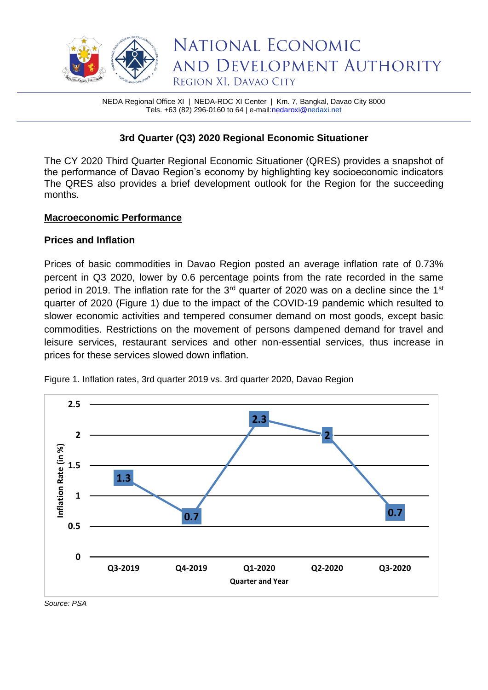

NEDA Regional Office XI | NEDA-RDC XI Center | Km. 7, Bangkal, Davao City 8000 Tels. +63 (82) 296-0160 to 64 | e-mai[l:nedaroxi@n](mailto:nedaroxi@)edaxi.net

# **3rd Quarter (Q3) 2020 Regional Economic Situationer**

The CY 2020 Third Quarter Regional Economic Situationer (QRES) provides a snapshot of the performance of Davao Region's economy by highlighting key socioeconomic indicators The QRES also provides a brief development outlook for the Region for the succeeding months.

# **Macroeconomic Performance**

# **Prices and Inflation**

Prices of basic commodities in Davao Region posted an average inflation rate of 0.73% percent in Q3 2020, lower by 0.6 percentage points from the rate recorded in the same period in 2019. The inflation rate for the  $3<sup>rd</sup>$  quarter of 2020 was on a decline since the 1<sup>st</sup> quarter of 2020 (Figure 1) due to the impact of the COVID-19 pandemic which resulted to slower economic activities and tempered consumer demand on most goods, except basic commodities. Restrictions on the movement of persons dampened demand for travel and leisure services, restaurant services and other non-essential services, thus increase in prices for these services slowed down inflation.



Figure 1. Inflation rates, 3rd quarter 2019 vs. 3rd quarter 2020, Davao Region

*Source: PSA*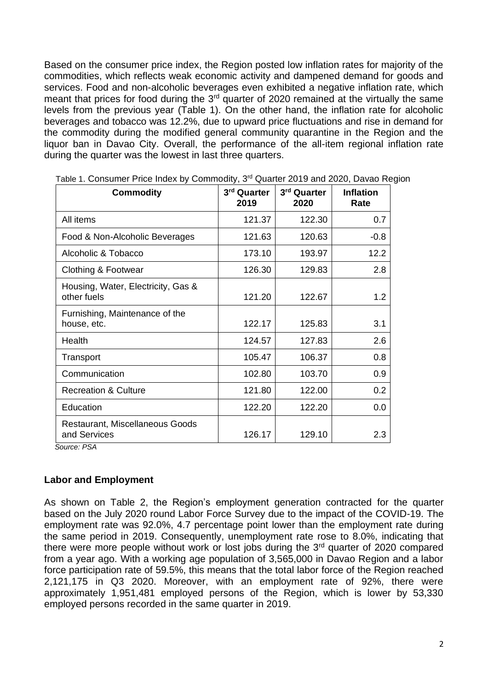Based on the consumer price index, the Region posted low inflation rates for majority of the commodities, which reflects weak economic activity and dampened demand for goods and services. Food and non-alcoholic beverages even exhibited a negative inflation rate, which meant that prices for food during the 3<sup>rd</sup> quarter of 2020 remained at the virtually the same levels from the previous year (Table 1). On the other hand, the inflation rate for alcoholic beverages and tobacco was 12.2%, due to upward price fluctuations and rise in demand for the commodity during the modified general community quarantine in the Region and the liquor ban in Davao City. Overall, the performance of the all-item regional inflation rate during the quarter was the lowest in last three quarters.

| <b>Commodity</b>                                  | 3rd Quarter<br>2019 | 3rd Quarter<br>2020 | <b>Inflation</b><br>Rate |
|---------------------------------------------------|---------------------|---------------------|--------------------------|
| All items                                         | 121.37              | 122.30              | 0.7                      |
| Food & Non-Alcoholic Beverages                    | 121.63              | 120.63              | $-0.8$                   |
| Alcoholic & Tobacco                               | 173.10              | 193.97              | 12.2                     |
| Clothing & Footwear                               | 126.30              | 129.83              | 2.8                      |
| Housing, Water, Electricity, Gas &<br>other fuels | 121.20              | 122.67              | 1.2                      |
| Furnishing, Maintenance of the<br>house, etc.     | 122.17              | 125.83              | 3.1                      |
| Health                                            | 124.57              | 127.83              | 2.6                      |
| Transport                                         | 105.47              | 106.37              | 0.8                      |
| Communication                                     | 102.80              | 103.70              | 0.9                      |
| <b>Recreation &amp; Culture</b>                   | 121.80              | 122.00              | 0.2                      |
| Education                                         | 122.20              | 122.20              | 0.0                      |
| Restaurant, Miscellaneous Goods<br>and Services   | 126.17              | 129.10              | 2.3                      |

Table 1. Consumer Price Index by Commodity, 3<sup>rd</sup> Quarter 2019 and 2020, Davao Region

 *Source: PSA*

# **Labor and Employment**

As shown on Table 2, the Region's employment generation contracted for the quarter based on the July 2020 round Labor Force Survey due to the impact of the COVID-19. The employment rate was 92.0%, 4.7 percentage point lower than the employment rate during the same period in 2019. Consequently, unemployment rate rose to 8.0%, indicating that there were more people without work or lost jobs during the 3<sup>rd</sup> quarter of 2020 compared from a year ago. With a working age population of 3,565,000 in Davao Region and a labor force participation rate of 59.5%, this means that the total labor force of the Region reached 2,121,175 in Q3 2020. Moreover, with an employment rate of 92%, there were approximately 1,951,481 employed persons of the Region, which is lower by 53,330 employed persons recorded in the same quarter in 2019.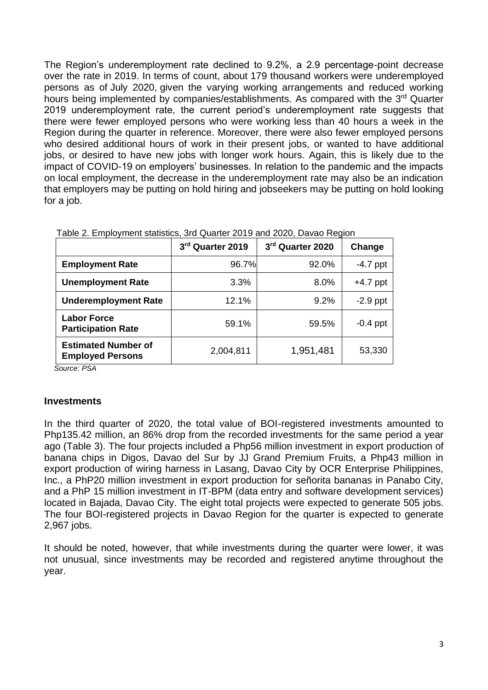The Region's underemployment rate declined to 9.2%, a 2.9 percentage-point decrease over the rate in 2019. In terms of count, about 179 thousand workers were underemployed persons as of July 2020, given the varying working arrangements and reduced working hours being implemented by companies/establishments. As compared with the 3<sup>rd</sup> Quarter 2019 underemployment rate, the current period's underemployment rate suggests that there were fewer employed persons who were working less than 40 hours a week in the Region during the quarter in reference. Moreover, there were also fewer employed persons who desired additional hours of work in their present jobs, or wanted to have additional jobs, or desired to have new jobs with longer work hours. Again, this is likely due to the impact of COVID-19 on employers' businesses. In relation to the pandemic and the impacts on local employment, the decrease in the underemployment rate may also be an indication that employers may be putting on hold hiring and jobseekers may be putting on hold looking for a job.

|                                                       | 3rd Quarter 2019 | 3rd Quarter 2020 | Change     |
|-------------------------------------------------------|------------------|------------------|------------|
| <b>Employment Rate</b>                                | 96.7%            | 92.0%            | $-4.7$ ppt |
| <b>Unemployment Rate</b>                              | 3.3%             | 8.0%             | $+4.7$ ppt |
| <b>Underemployment Rate</b>                           | 12.1%            | 9.2%             | $-2.9$ ppt |
| <b>Labor Force</b><br><b>Participation Rate</b>       | 59.1%            | 59.5%            | $-0.4$ ppt |
| <b>Estimated Number of</b><br><b>Employed Persons</b> | 2,004,811        | 1,951,481        | 53,330     |

Table 2. Employment statistics, 3rd Quarter 2019 and 2020, Davao Region

*Source: PSA*

#### **Investments**

In the third quarter of 2020, the total value of BOI-registered investments amounted to Php135.42 million, an 86% drop from the recorded investments for the same period a year ago (Table 3). The four projects included a Php56 million investment in export production of banana chips in Digos, Davao del Sur by JJ Grand Premium Fruits, a Php43 million in export production of wiring harness in Lasang, Davao City by OCR Enterprise Philippines, Inc., a PhP20 million investment in export production for señorita bananas in Panabo City, and a PhP 15 million investment in IT-BPM (data entry and software development services) located in Bajada, Davao City. The eight total projects were expected to generate 505 jobs. The four BOI-registered projects in Davao Region for the quarter is expected to generate 2,967 jobs.

It should be noted, however, that while investments during the quarter were lower, it was not unusual, since investments may be recorded and registered anytime throughout the year.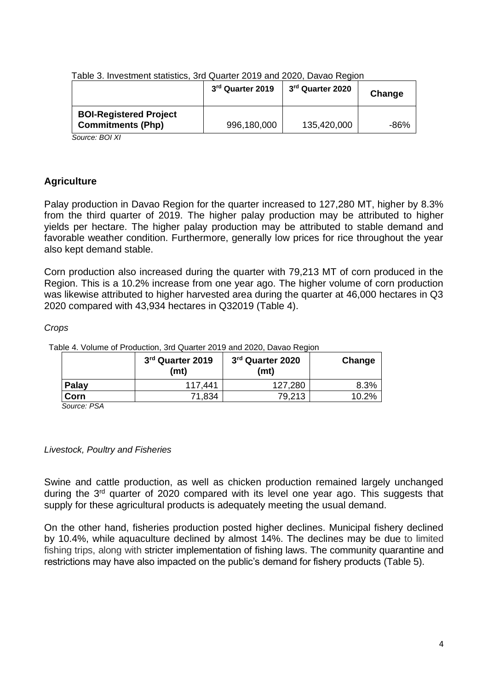|                                                           | 3rd Quarter 2019 | 3 <sup>rd</sup> Quarter 2020 | Change |
|-----------------------------------------------------------|------------------|------------------------------|--------|
| <b>BOI-Registered Project</b><br><b>Commitments (Php)</b> | 996,180,000      | 135,420,000                  | -86%   |

Table 3. Investment statistics, 3rd Quarter 2019 and 2020, Davao Region

*Source: BOI XI*

# **Agriculture**

Palay production in Davao Region for the quarter increased to 127,280 MT, higher by 8.3% from the third quarter of 2019. The higher palay production may be attributed to higher yields per hectare. The higher palay production may be attributed to stable demand and favorable weather condition. Furthermore, generally low prices for rice throughout the year also kept demand stable.

Corn production also increased during the quarter with 79,213 MT of corn produced in the Region. This is a 10.2% increase from one year ago. The higher volume of corn production was likewise attributed to higher harvested area during the quarter at 46,000 hectares in Q3 2020 compared with 43,934 hectares in Q32019 (Table 4).

*Crops* 

|             | 3rd Quarter 2019<br>(mt) | 3 <sup>rd</sup> Quarter 2020<br>(mt) | Change |
|-------------|--------------------------|--------------------------------------|--------|
| Palay       | 117.441                  | 127,280                              | 8.3%   |
| Corn        | 71,834                   | 79,213                               | 10.2%  |
| Source: PSA |                          |                                      |        |

Table 4. Volume of Production, 3rd Quarter 2019 and 2020, Davao Region

*Livestock, Poultry and Fisheries*

Swine and cattle production, as well as chicken production remained largely unchanged during the 3<sup>rd</sup> quarter of 2020 compared with its level one year ago. This suggests that supply for these agricultural products is adequately meeting the usual demand.

On the other hand, fisheries production posted higher declines. Municipal fishery declined by 10.4%, while aquaculture declined by almost 14%. The declines may be due to limited fishing trips, along with stricter implementation of fishing laws. The community quarantine and restrictions may have also impacted on the public's demand for fishery products (Table 5).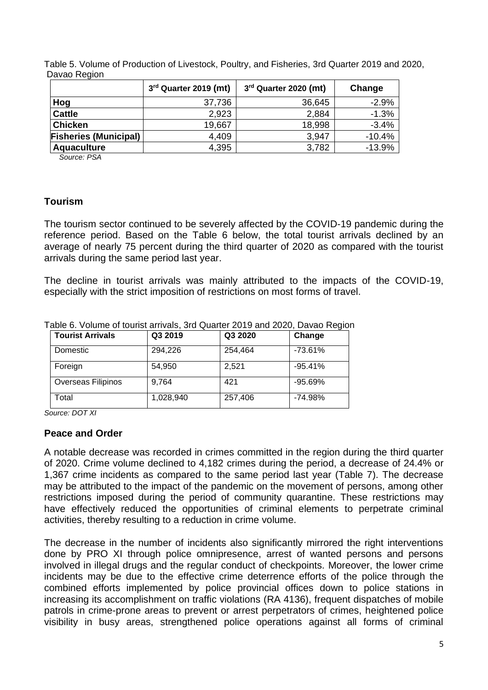|                              | 3 <sup>rd</sup> Quarter 2019 (mt) | 3rd Quarter 2020 (mt) | Change   |
|------------------------------|-----------------------------------|-----------------------|----------|
| Hog                          | 37,736                            | 36,645                | $-2.9%$  |
| <b>Cattle</b>                | 2,923                             | 2,884                 | $-1.3%$  |
| <b>Chicken</b>               | 19,667                            | 18,998                | $-3.4%$  |
| <b>Fisheries (Municipal)</b> | 4,409                             | 3,947                 | $-10.4%$ |
| Aquaculture                  | 4,395                             | 3,782                 | $-13.9%$ |

Table 5. Volume of Production of Livestock, Poultry, and Fisheries, 3rd Quarter 2019 and 2020, Davao Region

 *Source: PSA*

# **Tourism**

The tourism sector continued to be severely affected by the COVID-19 pandemic during the reference period. Based on the Table 6 below, the total tourist arrivals declined by an average of nearly 75 percent during the third quarter of 2020 as compared with the tourist arrivals during the same period last year.

The decline in tourist arrivals was mainly attributed to the impacts of the COVID-19, especially with the strict imposition of restrictions on most forms of travel.

| <b>Tourist Arrivals</b> | Q3 2019   | Q3 2020 | Change    |
|-------------------------|-----------|---------|-----------|
| Domestic                | 294,226   | 254,464 | $-73.61%$ |
| Foreign                 | 54,950    | 2,521   | $-95.41%$ |
| Overseas Filipinos      | 9.764     | 421     | $-95.69%$ |
| Total                   | 1,028,940 | 257,406 | $-74.98%$ |

Table 6. Volume of tourist arrivals, 3rd Quarter 2019 and 2020, Davao Region

*Source: DOT XI*

# **Peace and Order**

A notable decrease was recorded in crimes committed in the region during the third quarter of 2020. Crime volume declined to 4,182 crimes during the period, a decrease of 24.4% or 1,367 crime incidents as compared to the same period last year (Table 7). The decrease may be attributed to the impact of the pandemic on the movement of persons, among other restrictions imposed during the period of community quarantine. These restrictions may have effectively reduced the opportunities of criminal elements to perpetrate criminal activities, thereby resulting to a reduction in crime volume.

The decrease in the number of incidents also significantly mirrored the right interventions done by PRO XI through police omnipresence, arrest of wanted persons and persons involved in illegal drugs and the regular conduct of checkpoints. Moreover, the lower crime incidents may be due to the effective crime deterrence efforts of the police through the combined efforts implemented by police provincial offices down to police stations in increasing its accomplishment on traffic violations (RA 4136), frequent dispatches of mobile patrols in crime-prone areas to prevent or arrest perpetrators of crimes, heightened police visibility in busy areas, strengthened police operations against all forms of criminal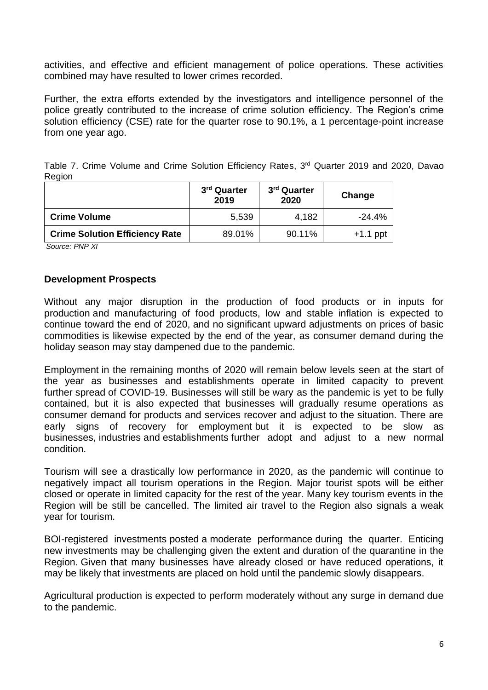activities, and effective and efficient management of police operations. These activities combined may have resulted to lower crimes recorded.

Further, the extra efforts extended by the investigators and intelligence personnel of the police greatly contributed to the increase of crime solution efficiency. The Region's crime solution efficiency (CSE) rate for the quarter rose to 90.1%, a 1 percentage-point increase from one year ago.

|        |  |  | Table 7. Crime Volume and Crime Solution Efficiency Rates, 3 <sup>rd</sup> Quarter 2019 and 2020, Davao |  |  |  |  |
|--------|--|--|---------------------------------------------------------------------------------------------------------|--|--|--|--|
| Region |  |  |                                                                                                         |  |  |  |  |

|                                       | 3 <sup>rd</sup> Quarter<br>2019 | 3 <sup>rd</sup> Quarter<br>2020 | Change     |
|---------------------------------------|---------------------------------|---------------------------------|------------|
| <b>Crime Volume</b>                   | 5,539                           | 4,182                           | $-24.4%$   |
| <b>Crime Solution Efficiency Rate</b> | 89.01%                          | 90.11%                          | $+1.1$ ppt |

*Source: PNP XI*

# **Development Prospects**

Without any major disruption in the production of food products or in inputs for production and manufacturing of food products, low and stable inflation is expected to continue toward the end of 2020, and no significant upward adjustments on prices of basic commodities is likewise expected by the end of the year, as consumer demand during the holiday season may stay dampened due to the pandemic.

Employment in the remaining months of 2020 will remain below levels seen at the start of the year as businesses and establishments operate in limited capacity to prevent further spread of COVID-19. Businesses will still be wary as the pandemic is yet to be fully contained, but it is also expected that businesses will gradually resume operations as consumer demand for products and services recover and adjust to the situation. There are early signs of recovery for employment but it is expected to be slow as businesses, industries and establishments further adopt and adjust to a new normal condition.

Tourism will see a drastically low performance in 2020, as the pandemic will continue to negatively impact all tourism operations in the Region. Major tourist spots will be either closed or operate in limited capacity for the rest of the year. Many key tourism events in the Region will be still be cancelled. The limited air travel to the Region also signals a weak year for tourism.

BOI-registered investments posted a moderate performance during the quarter. Enticing new investments may be challenging given the extent and duration of the quarantine in the Region. Given that many businesses have already closed or have reduced operations, it may be likely that investments are placed on hold until the pandemic slowly disappears.

Agricultural production is expected to perform moderately without any surge in demand due to the pandemic.